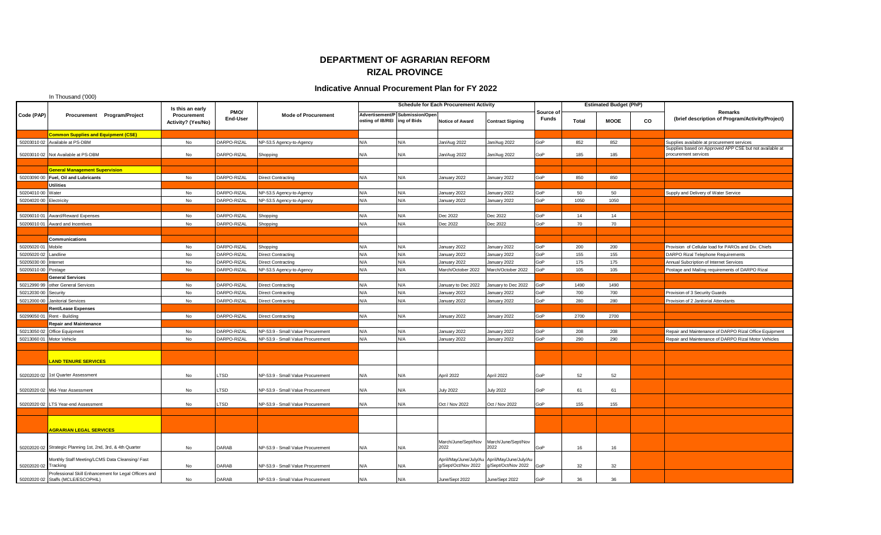## **DEPARTMENT OF AGRARIAN REFORM RIZAL PROVINCE**

## **Indicative Annual Procurement Plan for FY 2022**

|                           | In Thousand ('000)                                                                          |                             |                                                       |                  |                                   |                                               |                                 |                        |                                                                      |                           |                               |             |    |                                                                                 |
|---------------------------|---------------------------------------------------------------------------------------------|-----------------------------|-------------------------------------------------------|------------------|-----------------------------------|-----------------------------------------------|---------------------------------|------------------------|----------------------------------------------------------------------|---------------------------|-------------------------------|-------------|----|---------------------------------------------------------------------------------|
|                           |                                                                                             |                             | Is this an early<br>Procurement<br>Activity? (Yes/No) | PMO/<br>End-User | <b>Mode of Procurement</b>        | <b>Schedule for Each Procurement Activity</b> |                                 |                        |                                                                      |                           | <b>Estimated Budget (PhP)</b> |             |    |                                                                                 |
| Code (PAP)                |                                                                                             | Procurement Program/Project |                                                       |                  |                                   | osting of IB/REI ing of Bids                  | Advertisement/P Submission/Open | <b>Notice of Award</b> | <b>Contract Signing</b>                                              | Source of<br><b>Funds</b> | Total                         | <b>MOOE</b> | CO | Remarks<br>(brief description of Program/Activity/Project)                      |
|                           | <b>Common Supplies and Equipment (CSE)</b>                                                  |                             |                                                       |                  |                                   |                                               |                                 |                        |                                                                      |                           |                               |             |    |                                                                                 |
|                           | 50203010 02 Available at PS-DBM                                                             |                             | No                                                    | DARPO-RIZAL      | NP-53.5 Agency-to-Agency          | N/A                                           | N/A                             | Jan/Aug 2022           | Jan/Aug 2022                                                         | GoP                       | 852                           | 852         |    | Supplies available at procurement services                                      |
|                           | 50203010 02 Not Available at PS-DBM                                                         |                             | No                                                    | DARPO-RIZAL      | Shopping                          | N/A                                           | N/A                             | Jan/Aug 2022           | Jan/Aug 2022                                                         | GoP                       | 185                           | 185         |    | Supplies based on Approved APP CSE but not available at<br>procurement services |
|                           |                                                                                             |                             |                                                       |                  |                                   |                                               |                                 |                        |                                                                      |                           |                               |             |    |                                                                                 |
|                           | <b>General Management Supervision</b>                                                       |                             |                                                       |                  |                                   |                                               |                                 |                        |                                                                      |                           |                               |             |    |                                                                                 |
|                           | 50203090 00 Fuel, Oil and Lubricants                                                        |                             | No                                                    | DARPO-RIZAL      | <b>Direct Contracting</b>         | N/A                                           | N/A                             | January 2022           | January 2022                                                         | GoP                       | 850                           | 850         |    |                                                                                 |
|                           | <b>Utilities</b>                                                                            |                             |                                                       |                  |                                   |                                               |                                 |                        |                                                                      |                           |                               |             |    |                                                                                 |
| 50204010 00 Water         |                                                                                             |                             | No                                                    | DARPO-RIZAL      | NP-53.5 Agency-to-Agency          | N/A                                           | N/A                             | January 2022           | January 2022                                                         | GoP                       | 50                            | 50          |    | Supply and Delivery of Water Service                                            |
| 50204020 00 Electricity   |                                                                                             |                             | No                                                    | DARPO-RIZAL      | NP-53.5 Agency-to-Agency          | N/A                                           | N/A                             | January 2022           | January 2022                                                         | GoP                       | 1050                          | 1050        |    |                                                                                 |
| 5020601001                | Award/Reward Expenses                                                                       |                             | No                                                    | DARPO-RIZAL      | Shopping                          | N/A                                           | N/A                             | Dec 2022               | Dec 2022                                                             | GoP                       | 14                            | 14          |    |                                                                                 |
|                           | 50206010 01 Award and Incentives                                                            |                             | No                                                    | DARPO-RIZAL      | Shopping                          | N/A                                           | N/A                             | Dec 2022               | Dec 2022                                                             | GoP                       | 70                            | 70          |    |                                                                                 |
|                           |                                                                                             |                             |                                                       |                  |                                   |                                               |                                 |                        |                                                                      |                           |                               |             |    |                                                                                 |
|                           | Communications                                                                              |                             |                                                       |                  |                                   |                                               |                                 |                        |                                                                      |                           |                               |             |    |                                                                                 |
| 50205020 01               | Mobile                                                                                      |                             | No                                                    | DARPO-RIZAL      | Shopping                          | N/A                                           | N/A                             | January 2022           | January 2022                                                         | GoP                       | 200                           | 200         |    | Provision of Cellular load for PAROs and Div. Chiefs                            |
| 50205020 02               | Landline                                                                                    |                             | No                                                    | DARPO-RIZAL      | <b>Direct Contracting</b>         | N/A                                           | N/A                             | January 2022           | January 2022                                                         | GoP                       | 155                           | 155         |    | DARPO Rizal Telephone Requirements                                              |
| 50205030 00               | Internet                                                                                    |                             | No                                                    | DARPO-RIZAL      | Direct Contracting                | N/A                                           | N/A                             | January 2022           | January 2022                                                         | GoP                       | 175                           | 175         |    | Annual Subcription of Internet Services                                         |
| 50205010 00 Postage       |                                                                                             |                             | No                                                    | DARPO-RIZAL      | NP-53.5 Agency-to-Agency          | N/A                                           | N/A                             | March/October 2022     | March/October 2022                                                   | GoP                       | 105                           | 105         |    | Postage and Mailing requirements of DARPO Rizal                                 |
|                           | <b>General Services</b>                                                                     |                             |                                                       |                  |                                   |                                               |                                 |                        |                                                                      |                           |                               |             |    |                                                                                 |
|                           | 50212990 99 other General Services                                                          |                             | No                                                    | DARPO-RIZAL      | <b>Direct Contracting</b>         | N/A                                           | N/A                             | January to Dec 2022    | January to Dec 2022                                                  | GoP                       | 1490                          | 1490        |    |                                                                                 |
| 50212030 00 Security      |                                                                                             |                             | No                                                    | DARPO-RIZAL      | <b>Direct Contracting</b>         | N/A                                           | N/A                             | January 2022           | January 2022                                                         | GoP                       | 700                           | 700         |    | Provision of 3 Security Guards                                                  |
|                           | 50212000 00 Janitorial Services                                                             |                             | No                                                    | DARPO-RIZAL      | <b>Direct Contracting</b>         | N/A                                           | N/A                             | January 2022           | January 2022                                                         | GoP                       | 280                           | 280         |    | Provision of 2 Janitorial Attendants                                            |
|                           | <b>Rent/Lease Expenses</b>                                                                  |                             |                                                       |                  |                                   |                                               |                                 |                        |                                                                      |                           |                               |             |    |                                                                                 |
|                           | 50299050 01 Rent - Building                                                                 |                             | No                                                    | DARPO-RIZAL      | <b>Direct Contracting</b>         | N/A                                           | N/A                             | January 2022           | January 2022                                                         | GoP                       | 2700                          | 2700        |    |                                                                                 |
|                           | <b>Repair and Maintenance</b>                                                               |                             |                                                       |                  |                                   |                                               |                                 |                        |                                                                      |                           |                               |             |    |                                                                                 |
|                           | 50213050 02 Office Equipment                                                                |                             | No                                                    | DARPO-RIZAL      | NP-53.9 - Small Value Procurement | N/A                                           | N/A                             | January 2022           | January 2022                                                         | GoP                       | 208                           | 208         |    | Repair and Maintenance of DARPO Rizal Office Equipment                          |
| 50213060 01 Motor Vehicle |                                                                                             |                             | No                                                    | DARPO-RIZAL      | NP-53.9 - Small Value Procurement | N/A                                           | N/A                             | January 2022           | January 2022                                                         | GoP                       | 290                           | 290         |    | Repair and Maintenance of DARPO Rizal Motor Vehicles                            |
|                           |                                                                                             |                             |                                                       |                  |                                   |                                               |                                 |                        |                                                                      |                           |                               |             |    |                                                                                 |
|                           | <b>LAND TENURE SERVICES</b>                                                                 |                             |                                                       |                  |                                   |                                               |                                 |                        |                                                                      |                           |                               |             |    |                                                                                 |
|                           |                                                                                             |                             |                                                       |                  |                                   |                                               |                                 |                        |                                                                      |                           |                               |             |    |                                                                                 |
|                           | 50202020 02 1st Quarter Assessment                                                          |                             | No                                                    | .TSD             | NP-53.9 - Small Value Procurement | N/A                                           | N/A                             | April 2022             | April 2022                                                           | GoP                       | 52                            | 52          |    |                                                                                 |
|                           | 50202020 02 Mid-Year Assessment                                                             |                             | No                                                    | <b>LTSD</b>      | NP-53.9 - Small Value Procurement | N/A                                           | N/A                             | <b>July 2022</b>       | <b>July 2022</b>                                                     | GoP                       | 61                            | 61          |    |                                                                                 |
|                           | 50202020 02 LTS Year-end Assessment                                                         |                             | No                                                    | LTSD             | NP-53.9 - Small Value Procurement | N/A                                           | N/A                             | Oct / Nov 2022         | Oct / Nov 2022                                                       | GoP                       | 155                           | 155         |    |                                                                                 |
|                           |                                                                                             |                             |                                                       |                  |                                   |                                               |                                 |                        |                                                                      |                           |                               |             |    |                                                                                 |
|                           |                                                                                             |                             |                                                       |                  |                                   |                                               |                                 |                        |                                                                      |                           |                               |             |    |                                                                                 |
|                           | <b>AGRARIAN LEGAL SERVICES</b>                                                              |                             |                                                       |                  |                                   |                                               |                                 |                        |                                                                      |                           |                               |             |    |                                                                                 |
|                           |                                                                                             |                             |                                                       |                  |                                   |                                               |                                 | March/June/Sept/Nov    | March/June/Sept/Nov                                                  |                           |                               |             |    |                                                                                 |
|                           | 50202020 02 Strategic Planning 1st, 2nd, 3rd, & 4th Quarter                                 |                             | No                                                    | DARAB            | NP-53.9 - Small Value Procurement | N/A                                           | N/A                             | 2022                   | 2022                                                                 | GoP                       | 16                            | 16          |    |                                                                                 |
| 50202020 02 Tracking      | Monthly Staff Meeting/LCMS Data Cleansing/ Fast                                             |                             | No                                                    | DARAB            | NP-53.9 - Small Value Procurement | N/A                                           | N/A                             | g/Sept/Oct/Nov 2022    | April/May/June/July/Au April/May/June/July/Au<br>g/Sept/Oct/Nov 2022 | GoP                       | 32                            | 32          |    |                                                                                 |
|                           | Professional Skill Enhancement for Legal Officers and<br>50202020 02 Staffs (MCLE/ESCOPHIL) |                             | No                                                    | DARAB            | NP-53.9 - Small Value Procurement | N/A                                           | N/A                             | June/Sept 2022         | June/Sept 2022                                                       | GoP                       | 36                            | 36          |    |                                                                                 |
|                           |                                                                                             |                             |                                                       |                  |                                   |                                               |                                 |                        |                                                                      |                           |                               |             |    |                                                                                 |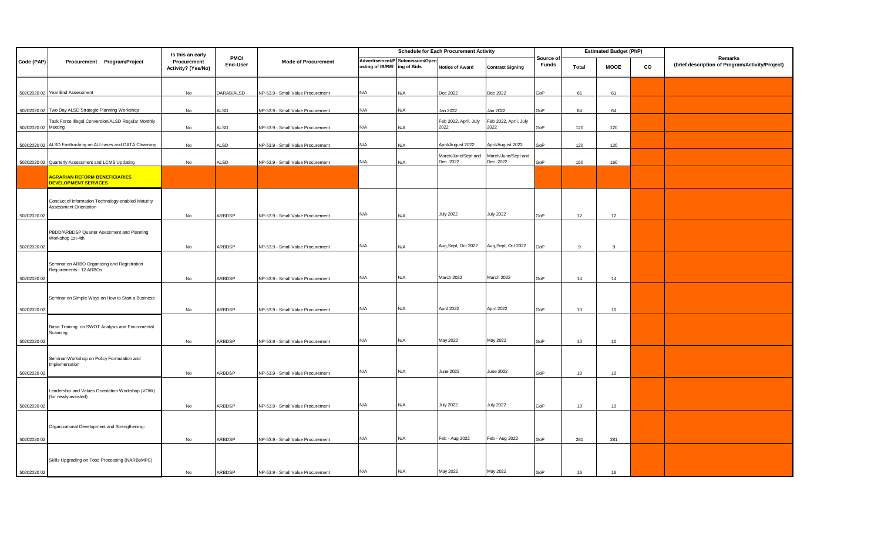|                     |                                                                              | Is this an early                  | PMO/<br>End-User | <b>Mode of Procurement</b>        | <b>Schedule for Each Procurement Activity</b> |                                 |                                  |                                  |                           | <b>Estimated Budget (PhP)</b> |             |    |                                                            |
|---------------------|------------------------------------------------------------------------------|-----------------------------------|------------------|-----------------------------------|-----------------------------------------------|---------------------------------|----------------------------------|----------------------------------|---------------------------|-------------------------------|-------------|----|------------------------------------------------------------|
| Code (PAP)          | Procurement Program/Project                                                  | Procurement<br>Activity? (Yes/No) |                  |                                   | osting of IB/REI ing of Bids                  | Advertisement/P Submission/Open | <b>Notice of Award</b>           | <b>Contract Signing</b>          | Source of<br><b>Funds</b> | <b>Total</b>                  | <b>MOOE</b> | CO | Remarks<br>(brief description of Program/Activity/Project) |
|                     | 50202020 02 Year End Assessment                                              | No                                | DARAB/ALSD       | NP-53.9 - Small Value Procurement | N/A                                           | N/A                             | Dec 2022                         | Dec 2022                         | GoP                       | 61                            | 61          |    |                                                            |
|                     | 50202020 02 Two Day ALSD Strategic Planning Workshop                         | No                                | ALSD             | NP-53.9 - Small Value Procurement | N/A                                           | N/A                             | Jan 2022                         | Jan 2022                         | GoP                       | 64                            | 64          |    |                                                            |
| 50202020 02 Meeting | Task Force Illegal Conversion/ALSD Regular Monthly                           | No                                | <b>ALSD</b>      | NP-53.9 - Small Value Procurement | N/A                                           | N/A                             | Feb 2022, April, July<br>2022    | Feb 2022, April, July<br>2022    | GoP                       | 120                           | 120         |    |                                                            |
|                     | 50202020 02 ALSD Fasttracking on ALI cases and DATA Cleansing                | No                                | <b>ALSD</b>      | NP-53.9 - Small Value Procurement | N/A                                           | N/A                             | April/August 2022                | April/August 2022                | GoP                       | 120                           | 120         |    |                                                            |
|                     | 50202020 02 Quarterly Assessment and LCMS Updating                           | No                                | <b>ALSD</b>      | NP-53.9 - Small Value Procurement | N/A                                           | N/A                             | March/June/Sept and<br>Dec. 2022 | March/June/Sept and<br>Dec. 2022 | GoP                       | 160                           | 160         |    |                                                            |
|                     | <b>AGRARIAN REFORM BENEFICIARIES</b><br><b>DEVELOPMENT SERVICES</b>          |                                   |                  |                                   |                                               |                                 |                                  |                                  |                           |                               |             |    |                                                            |
|                     | Conduct of Information Technology-enabled Maturity<br>Assessment Orientation |                                   |                  |                                   |                                               |                                 |                                  |                                  |                           |                               |             |    |                                                            |
| 50202020 02         |                                                                              | No                                | ARBDSP           | NP-53.9 - Small Value Procurement | N/A                                           | N/A                             | <b>July 2022</b>                 | <b>July 2022</b>                 | GoP                       | 12                            | 12          |    |                                                            |
|                     | PBDD/ARBDSP Quarter Asessment and Planning<br>Workshop 1st-4th               |                                   |                  |                                   |                                               |                                 |                                  |                                  |                           |                               |             |    |                                                            |
| 50202020 02         |                                                                              | No                                | ARBDSP           | NP-53.9 - Small Value Procurement | N/A                                           | N/A                             | Aug, Sept, Oct 2022              | Aug, Sept, Oct 2022              | GoP                       | 9                             | 9           |    |                                                            |
| 50202020 02         | Seminar on ARBO Organizing and Registration<br>Requirements - 12 ARBOs       | No                                | ARBDSP           |                                   | N/A                                           | N/A                             | March 2022                       | March 2022                       | GoP                       | 14                            | 14          |    |                                                            |
|                     |                                                                              |                                   |                  | NP-53.9 - Small Value Procurement |                                               |                                 |                                  |                                  |                           |                               |             |    |                                                            |
| 50202020 02         | Seminar on Simple Ways on How to Start a Business                            | No                                | ARBDSP           | NP-53.9 - Small Value Procurement | N/A                                           | N/A                             | April 2022                       | April 2022                       | GoP                       | 10                            | 10          |    |                                                            |
|                     |                                                                              |                                   |                  |                                   |                                               |                                 |                                  |                                  |                           |                               |             |    |                                                            |
| 50202020 02         | Basic Training on SWOT Analysis and Enviromental<br>Scanning                 | No                                | ARBDSP           | NP-53.9 - Small Value Procurement | N/A                                           | N/A                             | May 2022                         | May 2022                         | GoP                       | 10                            | 10          |    |                                                            |
|                     | Seminar-Workshop on Policy Formulation and<br>Implementation                 |                                   |                  |                                   |                                               |                                 |                                  |                                  |                           |                               |             |    |                                                            |
| 50202020 02         |                                                                              | No                                | ARBDSP           | NP-53.9 - Small Value Procurement | N/A                                           | N/A                             | <b>June 2022</b>                 | <b>June 2022</b>                 | GoP                       | 10                            | 10          |    |                                                            |
| 50202020 02         | Leadership and Values Orientation Workshop (VOW)<br>(for newly assisted)     | No                                | ARBDSP           | NP-53.9 - Small Value Procurement | N/A                                           | N/A                             | <b>July 2022</b>                 | <b>July 2022</b>                 | GoP                       | 10                            | 10          |    |                                                            |
|                     |                                                                              |                                   |                  |                                   |                                               |                                 |                                  |                                  |                           |                               |             |    |                                                            |
| 50202020 02         | Organizational Development and Strengthening-                                | No                                | ARBDSP           | NP-53.9 - Small Value Procurement | N/A                                           | N/A                             | Feb - Aug 2022                   | Feb - Aug 2022                   | GoP                       | 281                           | 281         |    |                                                            |
|                     |                                                                              |                                   |                  |                                   |                                               |                                 |                                  |                                  |                           |                               |             |    |                                                            |
| 50202020 02         | Skills Upgrading on Food Processing (NARBsMPC)                               | No                                | ARBDSP           | NP-53.9 - Small Value Procurement | N/A                                           | N/A                             | May 2022                         | May 2022                         | GoP                       | 16                            | 16          |    |                                                            |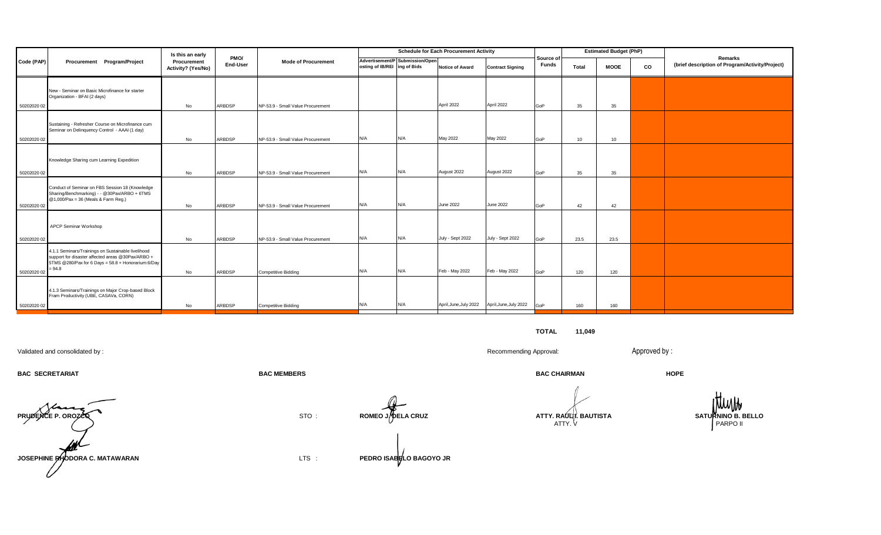|             | Procurement Program/Project                                                                                                                                               | Is this an early                  | PMO/<br>End-User | <b>Mode of Procurement</b>        | <b>Schedule for Each Procurement Activity</b> |                                 |                        |                         |                           | <b>Estimated Budget (PhP)</b> |             |    |                                                            |
|-------------|---------------------------------------------------------------------------------------------------------------------------------------------------------------------------|-----------------------------------|------------------|-----------------------------------|-----------------------------------------------|---------------------------------|------------------------|-------------------------|---------------------------|-------------------------------|-------------|----|------------------------------------------------------------|
| Code (PAP)  |                                                                                                                                                                           | Procurement<br>Activity? (Yes/No) |                  |                                   | osting of IB/REI ing of Bids                  | Advertisement/P Submission/Open | <b>Notice of Award</b> | <b>Contract Signing</b> | Source of<br><b>Funds</b> | Total                         | <b>MOOE</b> | CO | Remarks<br>(brief description of Program/Activity/Project) |
| 50202020 02 | New - Seminar on Basic Microfinance for starter<br>Organization - BFAI (2 days)                                                                                           | No                                | ARBDSP           | NP-53.9 - Small Value Procurement |                                               |                                 | April 2022             | April 2022              | GoP                       | 35                            | 35          |    |                                                            |
| 50202020 02 | Sustaining - Refresher Course on Microfinance cum<br>Seminar on Delinquency Control - AAAI (1 day)                                                                        | No                                | ARBDSP           | NP-53.9 - Small Value Procurement | N/A                                           | N/A                             | May 2022               | May 2022                | GoP                       | 10 <sup>1</sup>               | 10          |    |                                                            |
| 50202020 02 | Knowledge Sharing cum Learning Expedition                                                                                                                                 | No                                | ARBDSP           | NP-53.9 - Small Value Procurement | N/A                                           | N/A                             | August 2022            | August 2022             | GoP                       | 35                            | 35          |    |                                                            |
| 50202020 02 | Conduct of Seminar on FBS Session 18 (Knowledge<br>Sharing/Benchmarking) - - @30Pax/ARBO + 6TMS<br>@1,000/Pax = 36 (Meals & Farm Reg.)                                    | No                                | ARBDSP           | NP-53.9 - Small Value Procurement | N/A                                           | N/A                             | June 2022              | <b>June 2022</b>        | GoP                       | 42                            | 42          |    |                                                            |
| 50202020 02 | <b>APCP Seminar Workshop</b>                                                                                                                                              | No                                | ARBDSP           | NP-53.9 - Small Value Procurement | N/A                                           | N/A                             | July - Sept 2022       | July - Sept 2022        | GoP                       | 23.5                          | 23.5        |    |                                                            |
| 50202020 02 | 4.1.1 Seminars/Trainings on Sustainable livelihood<br>support for disaster affected areas @30Pax/ARBO +<br>5TMS @280/Pax for 6 Days = 58.8 + Honorarium:6/Day<br>$= 94.8$ | No                                | ARBDSP           | <b>Competitive Bidding</b>        | N/A                                           | N/A                             | Feb - May 2022         | Feb - May 2022          | GoP                       | 120                           | 120         |    |                                                            |
| 50202020 02 | 4.1.3 Seminars/Trainings on Major Crop-based Block<br>Fram Productivity (UBE, CASAVa, CORN)                                                                               | No                                | ARBDSP           | <b>Competitive Bidding</b>        | N/A                                           | N/A                             | April, June, July 2022 | April, June, July 2022  | GoP                       | 160                           | 160         |    |                                                            |

**TOTAL 11,049**

Validated and consolidated by : Recommending Approval: Approved by :

**BAC SECRETARIAT BAC MEMBERS BAC CHAIRMAN HOPE**



ATTY. V